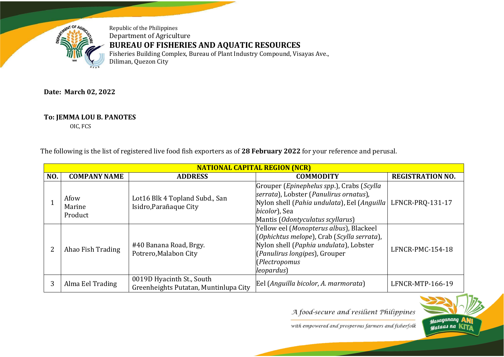

Republic of the Philippines Department of Agriculture **BUREAU OF FISHERIES AND AQUATIC RESOURCES** Fisheries Building Complex, Bureau of Plant Industry Compound, Visayas Ave., Diliman, Quezon City

## **Date: March 02, 2022**

## **To: JEMMA LOU B. PANOTES**

OIC, FCS

The following is the list of registered live food fish exporters as of **28 February 2022** for your reference and perusal.

|     | <b>NATIONAL CAPITAL REGION (NCR)</b> |                                                                    |                                                                                                                                                                                                |                         |  |
|-----|--------------------------------------|--------------------------------------------------------------------|------------------------------------------------------------------------------------------------------------------------------------------------------------------------------------------------|-------------------------|--|
| NO. | <b>COMPANY NAME</b>                  | <b>ADDRESS</b>                                                     | <b>COMMODITY</b>                                                                                                                                                                               | <b>REGISTRATION NO.</b> |  |
|     | Afow<br>Marine<br>Product            | Lot16 Blk 4 Topland Subd., San<br>Isidro, Parañaque City           | Grouper (Epinephelus spp.), Crabs (Scylla<br>serrata), Lobster (Panulirus ornatus),<br>Nylon shell (Pahia undulata), Eel (Anguilla)<br>bicolor), Sea<br>Mantis (Odontyculatus scyllarus)       | LFNCR-PRQ-131-17        |  |
|     | Ahao Fish Trading                    | #40 Banana Road, Brgy.<br>Potrero, Malabon City                    | Yellow eel (Monopterus albus), Blackeel<br>(Ophichtus melope), Crab (Scylla serrata),<br>Nylon shell (Paphia undulata), Lobster<br>(Panulirus longipes), Grouper<br>Plectropomus<br>leopardus) | LFNCR-PMC-154-18        |  |
| 3   | Alma Eel Trading                     | 0019D Hyacinth St., South<br>Greenheights Putatan, Muntinlupa City | Eel (Anguilla bicolor, A. marmorata)                                                                                                                                                           | LFNCR-MTP-166-19        |  |

A food-secure and resilient Philippines

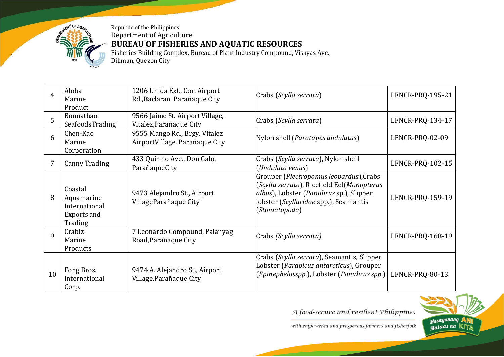

Republic of the Philippines Department of Agriculture **BUREAU OF FISHERIES AND AQUATIC RESOURCES** Fisheries Building Complex, Bureau of Plant Industry Compound, Visayas Ave.,

Diliman, Quezon City

| $\overline{4}$ | Aloha<br>Marine                                                  | 1206 Unida Ext., Cor. Airport<br>Rd., Baclaran, Parañaque City | Crabs (Scylla serrata)                                                                                                                                                                       | LFNCR-PRQ-195-21 |
|----------------|------------------------------------------------------------------|----------------------------------------------------------------|----------------------------------------------------------------------------------------------------------------------------------------------------------------------------------------------|------------------|
|                | Product                                                          |                                                                |                                                                                                                                                                                              |                  |
| 5              | Bonnathan                                                        | 9566 Jaime St. Airport Village,                                | Crabs (Scylla serrata)                                                                                                                                                                       | LFNCR-PRQ-134-17 |
|                | SeafoodsTrading                                                  | Vitalez, Parañaque City                                        |                                                                                                                                                                                              |                  |
| 6              | Chen-Kao                                                         | 9555 Mango Rd., Brgy. Vitalez                                  | Nylon shell (Paratapes undulatus)                                                                                                                                                            | LFNCR-PRQ-02-09  |
|                | Marine                                                           | AirportVillage, Parañaque City                                 |                                                                                                                                                                                              |                  |
|                | Corporation                                                      |                                                                |                                                                                                                                                                                              |                  |
| 7              |                                                                  | 433 Quirino Ave., Don Galo,                                    | Crabs (Scylla serrata), Nylon shell                                                                                                                                                          |                  |
|                | <b>Canny Trading</b>                                             | ParañaqueCity                                                  | (Undulata venus)                                                                                                                                                                             | LFNCR-PRQ-102-15 |
| 8              | Coastal<br>Aquamarine<br>International<br>Exports and<br>Trading | 9473 Alejandro St., Airport<br>VillageParañaque City           | Grouper (Plectropomus leopardus), Crabs<br>(Scylla serrata), Ricefield Eel(Monopterus<br>albus), Lobster (Panulirus sp.), Slipper<br>lobster (Scyllaridae spp.), Sea mantis<br>(Stomatopoda) | LFNCR-PRQ-159-19 |
| $\mathbf{q}$   | Crabiz<br>Marine<br>Products                                     | 7 Leonardo Compound, Palanyag<br>Road, Parañaque City          | Crabs (Scylla serrata)                                                                                                                                                                       | LFNCR-PRQ-168-19 |
| 10             | Fong Bros.<br>International<br>Corp.                             | 9474 A. Alejandro St., Airport<br>Village, Parañaque City      | Crabs (Scylla serrata), Seamantis, Slipper<br>Lobster (Parabicus antarcticus), Grouper<br>(Epinephelusspp.), Lobster (Panulirus spp.)                                                        | LFNCR-PRQ-80-13  |

A food-secure and resilient Philippines

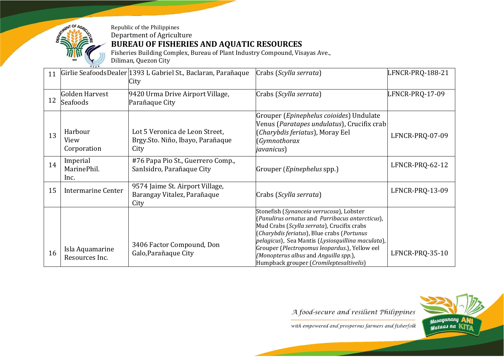

**BUREAU OF FISHERIES AND AQUATIC RESOURCES**

Fisheries Building Complex, Bureau of Plant Industry Compound, Visayas Ave., Diliman, Quezon City

| 11 |                                       | Girlie SeafoodsDealer 1393 L Gabriel St., Baclaran, Parañaque<br>City       | Crabs (Scylla serrata)                                                                                                                                                                                                                                                                                                                                                            | LFNCR-PRQ-188-21 |
|----|---------------------------------------|-----------------------------------------------------------------------------|-----------------------------------------------------------------------------------------------------------------------------------------------------------------------------------------------------------------------------------------------------------------------------------------------------------------------------------------------------------------------------------|------------------|
| 12 | Golden Harvest<br><b>Seafoods</b>     | 9420 Urma Drive Airport Village,<br>Parañaque City                          | Crabs (Scylla serrata)                                                                                                                                                                                                                                                                                                                                                            | LFNCR-PRQ-17-09  |
| 13 | Harbour<br><b>View</b><br>Corporation | Lot 5 Veronica de Leon Street,<br>Brgy. Sto. Niño, Ibayo, Parañaque<br>City | Grouper (Epinephelus coioides) Undulate<br>Venus (Paratapes undulatus), Crucifix crab<br>(Charybdis feriatus), Moray Eel<br>(Gymnothorax<br>javanicus)                                                                                                                                                                                                                            | LFNCR-PRQ-07-09  |
| 14 | Imperial<br>MarinePhil.<br>Inc.       | #76 Papa Pio St., Guerrero Comp.,<br>SanIsidro, Parañaque City              | Grouper ( <i>Epinephelus</i> spp.)                                                                                                                                                                                                                                                                                                                                                | LFNCR-PRQ-62-12  |
| 15 | Intermarine Center                    | 9574 Jaime St. Airport Village,<br>Barangay Vitalez, Parañaque<br>City      | Crabs (Scylla serrata)                                                                                                                                                                                                                                                                                                                                                            | LFNCR-PRQ-13-09  |
| 16 | Isla Aquamarine<br>Resources Inc.     | 3406 Factor Compound, Don<br>Galo, Parañaque City                           | Stonefish (Synanceia verrucosa), Lobster<br>(Panulirus ornatus and Parribacus antarcticus),<br>Mud Crabs (Scylla serrata), Crucifix crabs<br>(Charybdis feriatus), Blue crabs (Portunus<br>pelagicus), Sea Mantis (Lysiosquillina maculata),<br>Grouper (Plectropomus leopardus.), Yellow eel<br>(Monopterus albus and Anguilla spp.),<br>Humpback grouper (Cromileptesaltivelis) | LFNCR-PRQ-35-10  |

A food-secure and resilient Philippines

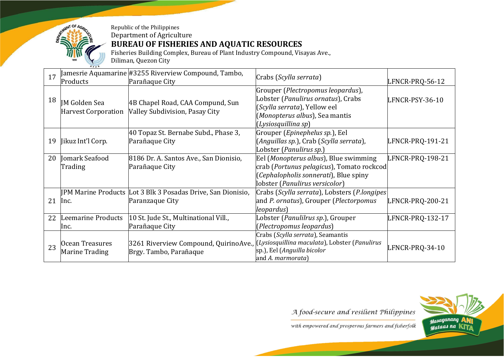

Fisheries Building Complex, Bureau of Plant Industry Compound, Visayas Ave., Diliman, Quezon City

| 17 |                                             | Jamesrie Aquamarine #3255 Riverview Compound, Tambo,                                | Crabs (Scylla serrata)                                                                                                                                           |                  |
|----|---------------------------------------------|-------------------------------------------------------------------------------------|------------------------------------------------------------------------------------------------------------------------------------------------------------------|------------------|
|    | Products                                    | Parañaque City                                                                      |                                                                                                                                                                  | LFNCR-PRQ-56-12  |
| 18 | <b>IM Golden Sea</b><br>Harvest Corporation | 4B Chapel Road, CAA Compund, Sun<br>Valley Subdivision, Pasay City                  | Grouper (Plectropomus leopardus),<br>Lobster (Panulirus ornatus), Crabs<br>(Scylla serrata), Yellow eel<br>(Monopterus albus), Sea mantis<br>(Lysiosquillina sp) | LFNCR-PSY-36-10  |
|    |                                             | 40 Topaz St. Bernabe Subd., Phase 3,                                                | Grouper ( <i>Epinephelus sp.</i> ), Eel                                                                                                                          |                  |
| 19 | Jikuz Int'l Corp.                           | Parañaque City                                                                      | (Anguillas sp.), Crab (Scylla serrata),                                                                                                                          | LFNCR-PRQ-191-21 |
|    |                                             |                                                                                     | Lobster (Panulirus sp.)                                                                                                                                          |                  |
| 20 | Jomark Seafood                              | 8186 Dr. A. Santos Ave., San Dionisio,                                              | Eel (Monopterus albus), Blue swimming                                                                                                                            | LFNCR-PRQ-198-21 |
|    | Trading                                     | Parañaque City                                                                      | crab (Portunus pelagicus), Tomato rockcod                                                                                                                        |                  |
|    |                                             |                                                                                     | (Cephalopholis sonnerati), Blue spiny                                                                                                                            |                  |
|    |                                             |                                                                                     | lobster (Panulirus versicolor)                                                                                                                                   |                  |
|    |                                             |                                                                                     |                                                                                                                                                                  |                  |
|    |                                             | JPM Marine Products Lot 3 Blk 3 Posadas Drive, San Dionisio,                        | Crabs (Scylla serrata), Lobsters (P.longipes                                                                                                                     |                  |
| 21 | Inc.                                        | Paranzaque City                                                                     | and P. ornatus), Grouper (Plectorpomus                                                                                                                           | LFNCR-PRQ-200-21 |
|    |                                             |                                                                                     | leopardus)                                                                                                                                                       |                  |
| 22 | Leemarine Products                          | 10 St. Jude St., Multinational Vill.,                                               | Lobster (Panulilrus sp.), Grouper                                                                                                                                | LFNCR-PRQ-132-17 |
|    | lnc.                                        | Parañaque City                                                                      | (Plectropomus leopardus)                                                                                                                                         |                  |
|    |                                             |                                                                                     | Crabs (Scylla serrata), Seamantis                                                                                                                                |                  |
| 23 | Ocean Treasures                             | 3261 Riverview Compound, QuirinoAve., (Lysiosquillina maculata), Lobster (Panulirus |                                                                                                                                                                  |                  |
|    | Marine Trading                              | Brgy. Tambo, Parañaque                                                              | sp.), Eel (Anguilla bicolor                                                                                                                                      | LFNCR-PRQ-34-10  |
|    |                                             |                                                                                     | and A. marmorata)                                                                                                                                                |                  |

A food-secure and resilient Philippines

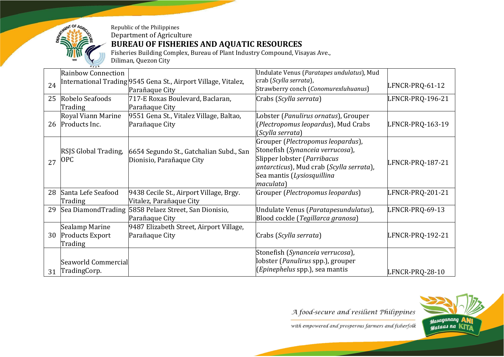

Fisheries Building Complex, Bureau of Plant Industry Compound, Visayas Ave.,

Diliman, Quezon City

|    | <b>Rainbow Connection</b> |                                                                | Undulate Venus (Paratapes undulatus), Mud |                  |
|----|---------------------------|----------------------------------------------------------------|-------------------------------------------|------------------|
| 24 |                           | International Trading 9545 Gena St., Airport Village, Vitalez, | crab (Scylla serrata),                    |                  |
|    |                           | Parañaque City                                                 | Strawberry conch (Conomurexluhuanus)      | LFNCR-PRQ-61-12  |
| 25 | Robelo Seafoods           | 717-E Roxas Boulevard, Baclaran,                               | Crabs (Scylla serrata)                    | LFNCR-PRQ-196-21 |
|    | Trading                   | Parañaque City                                                 |                                           |                  |
|    | Royal Viann Marine        | 9551 Gena St., Vitalez Village, Baltao,                        | Lobster (Panulirus ornatus), Grouper      |                  |
|    | 26 Products Inc.          | Parañaque City                                                 | Plectropomus leopardus), Mud Crabs        | LFNCR-PRQ-163-19 |
|    |                           |                                                                | (Scylla serrata)                          |                  |
|    |                           |                                                                | Grouper (Plectropomus leopardus),         |                  |
|    | RSJS Global Trading,      | 6654 Segundo St., Gatchalian Subd., San                        | Stonefish (Synanceia verrucosa),          |                  |
| 27 | <b>OPC</b>                | Dionisio, Parañaque City                                       | Slipper lobster (Parribacus               | LFNCR-PRQ-187-21 |
|    |                           |                                                                | antarcticus), Mud crab (Scylla serrata),  |                  |
|    |                           |                                                                | Sea mantis (Lysiosquillina                |                  |
|    |                           |                                                                | maculata)                                 |                  |
| 28 | Santa Lefe Seafood        | 9438 Cecile St., Airport Village, Brgy.                        | Grouper (Plectropomus leopardus)          | LFNCR-PRQ-201-21 |
|    | Trading                   | Vitalez, Parañaque City                                        |                                           |                  |
| 29 |                           | Sea Diamond Trading 5858 Pelaez Street, San Dionisio,          | Undulate Venus (Paratapesundulatus),      | LFNCR-PRQ-69-13  |
|    |                           | Parañaque City                                                 | Blood cockle (Tegillarca granosa)         |                  |
|    | Sealamp Marine            | 9487 Elizabeth Street, Airport Village,                        |                                           |                  |
| 30 | <b>Products Export</b>    | Parañaque City                                                 | Crabs (Scylla serrata)                    | LFNCR-PRQ-192-21 |
|    | Trading                   |                                                                |                                           |                  |
|    |                           |                                                                | Stonefish (Synanceia verrucosa),          |                  |
|    | Seaworld Commercial       |                                                                | lobster (Panulirus spp.), grouper         |                  |
| 31 | TradingCorp.              |                                                                | (Epinephelus spp.), sea mantis            | LFNCR-PRQ-28-10  |

A food-secure and resilient Philippines

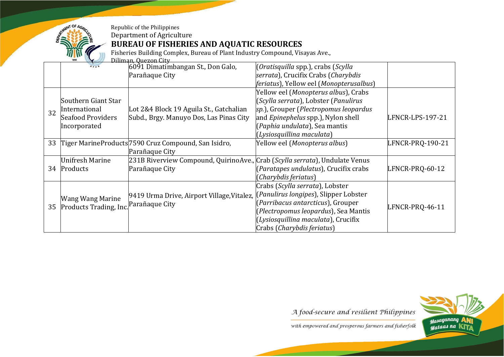

## **BUREAU OF FISHERIES AND AQUATIC RESOURCES**

Fisheries Building Complex, Bureau of Plant Industry Compound, Visayas Ave.,

|    | Diliman, Quezon City   |                                                                             |                                                 |                  |  |
|----|------------------------|-----------------------------------------------------------------------------|-------------------------------------------------|------------------|--|
|    |                        | 6091 Dimatimbangan St., Don Galo,                                           | (Oratisquilla spp.), crabs (Scylla              |                  |  |
|    |                        | Parañaque City                                                              | serrata), Crucifix Crabs (Charybdis             |                  |  |
|    |                        |                                                                             | <i>feriatus</i> ), Yellow eel (Monopterusalbus) |                  |  |
|    |                        |                                                                             | Yellow eel (Monopterus albus), Crabs            |                  |  |
|    | Southern Giant Star    |                                                                             | (Scylla serrata), Lobster (Panulirus            |                  |  |
| 32 | International          | Lot 2&4 Block 19 Aguila St., Gatchalian                                     | sp.), Grouper (Plectropomus leopardus           |                  |  |
|    | Seafood Providers      | Subd., Brgy. Manuyo Dos, Las Pinas City                                     | and <i>Epinephelus</i> spp.), Nylon shell       | LFNCR-LPS-197-21 |  |
|    | Incorporated           |                                                                             | (Paphia undulata), Sea mantis                   |                  |  |
|    |                        |                                                                             | (Lysiosquillina maculata)                       |                  |  |
|    |                        | 33 Tiger MarineProducts 7590 Cruz Compound, San Isidro,                     | Yellow eel (Monopterus albus)                   | LFNCR-PRQ-190-21 |  |
|    |                        | Parañaque City                                                              |                                                 |                  |  |
|    | <b>Unifresh Marine</b> | 231B Riverview Compound, QuirinoAve., Crab (Scylla serrata), Undulate Venus |                                                 |                  |  |
| 34 | Products               | Parañaque City                                                              | (Paratapes undulatus), Crucifix crabs           | LFNCR-PRQ-60-12  |  |
|    |                        |                                                                             | (Charybdis feriatus)                            |                  |  |
|    |                        |                                                                             | Crabs (Scylla serrata), Lobster                 |                  |  |
|    | Wang Wang Marine       | 9419 Urma Drive, Airport Village, Vitalez,                                  | [Panulirus longipes], Slipper Lobster           |                  |  |
|    | Products Trading, Inc. | Parañaque City                                                              | (Parribacus antarcticus), Grouper               |                  |  |
| 35 |                        |                                                                             | (Plectropomus leopardus), Sea Mantis            | LFNCR-PRQ-46-11  |  |
|    |                        |                                                                             | (Lysiosquillina maculata), Crucifix             |                  |  |
|    |                        |                                                                             | Crabs (Charybdis feriatus)                      |                  |  |

A food-secure and resilient Philippines

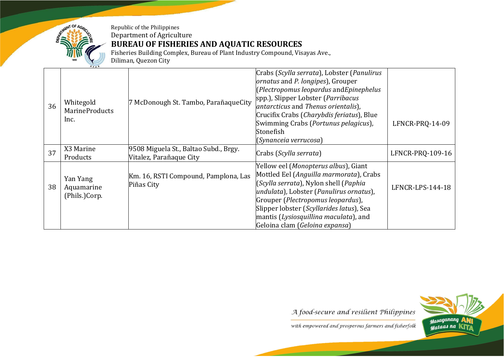

**BUREAU OF FISHERIES AND AQUATIC RESOURCES**

Fisheries Building Complex, Bureau of Plant Industry Compound, Visayas Ave.,

Diliman, Quezon City

|    | $G$ $F$ $A$ $K$                            |                                                                  |                                                                                                                                                                                                                                                                                                                                       |                  |
|----|--------------------------------------------|------------------------------------------------------------------|---------------------------------------------------------------------------------------------------------------------------------------------------------------------------------------------------------------------------------------------------------------------------------------------------------------------------------------|------------------|
| 36 | Whitegold<br><b>MarineProducts</b><br>Inc. | 7 McDonough St. Tambo, ParañaqueCity                             | Crabs (Scylla serrata), Lobster (Panulirus<br>ornatus and P. longipes), Grouper<br>$[Plectropomus leopardus and Epinephelus]$<br>spp.), Slipper Lobster (Parribacus<br>antarcticus and Thenus orientalis),<br>Crucifix Crabs (Charybdis feriatus), Blue<br>Swimming Crabs (Portunus pelagicus),<br>Stonefish<br>(Synanceia verrucosa) | LFNCR-PRQ-14-09  |
| 37 | X3 Marine<br>Products                      | 9508 Miguela St., Baltao Subd., Brgy.<br>Vitalez, Parañaque City | Crabs (Scylla serrata)                                                                                                                                                                                                                                                                                                                | LFNCR-PRQ-109-16 |
| 38 | Yan Yang<br>Aquamarine<br>(Phils.)Corp.    | Km. 16, RSTI Compound, Pamplona, Las<br>Piñas City               | Yellow eel (Monopterus albus), Giant<br>Mottled Eel (Anguilla marmorata), Crabs<br>(Scylla serrata), Nylon shell (Paphia<br>undulata), Lobster (Panulirus ornatus),<br>Grouper (Plectropomus leopardus),<br>Slipper lobster (Scyllarides latus), Sea<br>mantis (Lysiosquillina maculata), and                                         | LFNCR-LPS-144-18 |
|    |                                            |                                                                  | Geloina clam (Geloina expansa)                                                                                                                                                                                                                                                                                                        |                  |

A food-secure and resilient Philippines

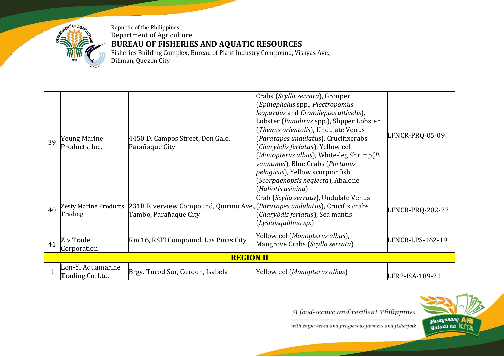

Republic of the Philippines Department of Agriculture **BUREAU OF FISHERIES AND AQUATIC RESOURCES** Fisheries Building Complex, Bureau of Plant Industry Compound, Visayas Ave.,

Diliman, Quezon City

| 39 | Yeung Marine<br>Products, Inc.          | 4450 D. Campos Street, Don Galo,<br>Parañaque City                                                              | Crabs (Scylla serrata), Grouper<br>$[Epinephelus$ spp., Plectropomus<br>leopardus and Cromileptes altivelis),<br>Lobster (Panulirus spp.), Slipper Lobster<br>(Thenus orientalis), Undulate Venus<br>(Paratapes undulatus), Crucifixcrabs<br>(Charybdis feriatus), Yellow eel<br>(Monopterus albus), White-leg Shrimp(P.<br>vannamei), Blue Crabs (Portunus<br><i>pelagicus</i> ), Yellow scorpionfish<br>(Scorpaenopsis neglecta), Abalone<br>(Haliotis asinina) | LFNCR-PRQ-05-09  |  |
|----|-----------------------------------------|-----------------------------------------------------------------------------------------------------------------|-------------------------------------------------------------------------------------------------------------------------------------------------------------------------------------------------------------------------------------------------------------------------------------------------------------------------------------------------------------------------------------------------------------------------------------------------------------------|------------------|--|
| 40 | <b>Zesty Marine Products</b><br>Trading | [231B Riverview Compound, Quirino Ave., [ <i>Paratapes undulatus</i> ], Crucifix crabs<br>Tambo, Parañaque City | Crab (Scylla serrata), Undulate Venus<br>(Charybdis feriatus), Sea mantis<br>(Lysioisquillina sp.)                                                                                                                                                                                                                                                                                                                                                                | LFNCR-PRQ-202-22 |  |
| 41 | Ziv Trade<br>Corporation                | Km 16, RSTI Compound, Las Piñas City                                                                            | [Yellow eel (Monopterus albus),<br>Mangrove Crabs (Scylla serrata)                                                                                                                                                                                                                                                                                                                                                                                                | LFNCR-LPS-162-19 |  |
|    | <b>REGION II</b>                        |                                                                                                                 |                                                                                                                                                                                                                                                                                                                                                                                                                                                                   |                  |  |
|    | Lon-Yi Aquamarine<br>Trading Co. Ltd.   | Brgy. Turod Sur, Cordon, Isabela                                                                                | [Yellow eel ( <i>Monopterus albus</i> )                                                                                                                                                                                                                                                                                                                                                                                                                           | LFR2-ISA-189-21  |  |

A food-secure and resilient Philippines

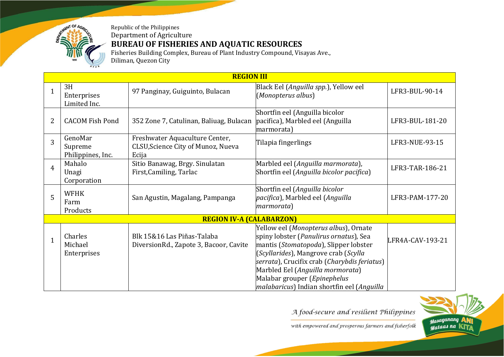

## **BUREAU OF FISHERIES AND AQUATIC RESOURCES**

Fisheries Building Complex, Bureau of Plant Industry Compound, Visayas Ave., Diliman, Quezon City

|              | <b>REGION III</b>                       |                                                                               |                                                                                                                                                                                                                                                      |                  |  |
|--------------|-----------------------------------------|-------------------------------------------------------------------------------|------------------------------------------------------------------------------------------------------------------------------------------------------------------------------------------------------------------------------------------------------|------------------|--|
| 1            | 3H<br>Enterprises<br>Limited Inc.       | 97 Panginay, Guiguinto, Bulacan                                               | Black Eel (Anguilla spp.), Yellow eel<br>(Monopterus albus)                                                                                                                                                                                          | LFR3-BUL-90-14   |  |
| 2            | <b>CACOM Fish Pond</b>                  | 352 Zone 7, Catulinan, Baliuag, Bulacan                                       | Shortfin eel (Anguilla bicolor<br>pacifica), Marbled eel (Anguilla<br>marmorata)                                                                                                                                                                     | LFR3-BUL-181-20  |  |
| 3            | GenoMar<br>Supreme<br>Philippines, Inc. | Freshwater Aquaculture Center,<br>CLSU, Science City of Munoz, Nueva<br>Ecija | Tilapia fingerlings                                                                                                                                                                                                                                  | LFR3-NUE-93-15   |  |
| 4            | Mahalo<br>Unagi<br>Corporation          | Sitio Banawag, Brgy. Sinulatan<br>First, Camiling, Tarlac                     | Marbled eel (Anguilla marmorata),<br>Shortfin eel (Anguilla bicolor pacifica)                                                                                                                                                                        | LFR3-TAR-186-21  |  |
| 5            | <b>WFHK</b><br>Farm<br>Products         | San Agustin, Magalang, Pampanga                                               | Shortfin eel (Anguilla bicolor<br>pacifica), Marbled eel (Anguilla<br>marmorata)                                                                                                                                                                     | LFR3-PAM-177-20  |  |
|              |                                         | <b>REGION IV-A (CALABARZON)</b>                                               |                                                                                                                                                                                                                                                      |                  |  |
| $\mathbf{1}$ | Charles<br>Michael<br>Enterprises       | Blk 15&16 Las Piñas-Talaba<br>DiversionRd., Zapote 3, Bacoor, Cavite          | Yellow eel (Monopterus albus), Ornate<br>spiny lobster (Panulirus ornatus), Sea<br>mantis (Stomatopoda), Slipper lobster<br>(Scyllarides), Mangrove crab (Scylla<br>serrata), Crucifix crab (Charybdis feriatus)<br>Marbled Eel (Anguilla mormorata) | LFR4A-CAV-193-21 |  |
|              |                                         |                                                                               | Malabar grouper (Epinephelus<br>malabaricus) Indian shortfin eel (Anguilla                                                                                                                                                                           |                  |  |

A food-secure and resilient Philippines

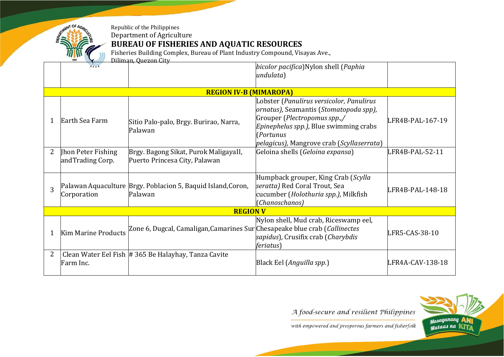

Fisheries Building Complex, Bureau of Plant Industry Compound, Visayas Ave.,

|                | Diliman, Quezon City                   |                                                                            |                                                                                                                                                                                                                                |                  |
|----------------|----------------------------------------|----------------------------------------------------------------------------|--------------------------------------------------------------------------------------------------------------------------------------------------------------------------------------------------------------------------------|------------------|
|                |                                        |                                                                            | bicolor pacifica)Nylon shell (Paphia<br>undulata)                                                                                                                                                                              |                  |
|                |                                        | <b>REGION IV-B (MIMAROPA)</b>                                              |                                                                                                                                                                                                                                |                  |
| 1              | Earth Sea Farm                         | Sitio Palo-palo, Brgy. Burirao, Narra,<br>Palawan                          | Lobster (Panulirus versicolor, Panulirus<br>ornatus), Seamantis (Stomatopoda spp),<br>Grouper (Plectropomus spp.,/<br><i>Epinephelus spp.)</i> , Blue swimming crabs<br>(Portunus<br>pelagicus), Mangrove crab (Scyllaserrata) | LFR4B-PAL-167-19 |
| $\overline{2}$ | Jhon Peter Fishing<br>andTrading Corp. | Brgy. Bagong Sikat, Purok MaligayaII,<br>Puerto Princesa City, Palawan     | Geloina shells (Geloina expansa)                                                                                                                                                                                               | LFR4B-PAL-52-11  |
| 3              | Corporation                            | Palawan Aquaculture Brgy. Poblacion 5, Baquid Island, Coron,<br>Palawan    | Humpback grouper, King Crab (Scylla<br>seratta) Red Coral Trout, Sea<br>cucumber (Holothuria spp.), Milkfish<br>(Chanoschanos)                                                                                                 | LFR4B-PAL-148-18 |
|                |                                        | <b>REGION V</b>                                                            |                                                                                                                                                                                                                                |                  |
| $\mathbf{1}$   | <b>Kim Marine Products</b>             | Zone 6, Dugcal, Camaligan, Camarines Sur Chesapeake blue crab (Callinectes | Nylon shell, Mud crab, Riceswamp eel,<br>sapidus), Crusifix crab (Charybdis<br><i>feriatus</i> )                                                                                                                               | LFR5-CAS-38-10   |
| 2              | Farm Inc.                              | Clean Water Eel Fish # 365 Be Halayhay, Tanza Cavite                       | Black Eel (Anguilla spp.)                                                                                                                                                                                                      | LFR4A-CAV-138-18 |

A food-secure and resilient Philippines

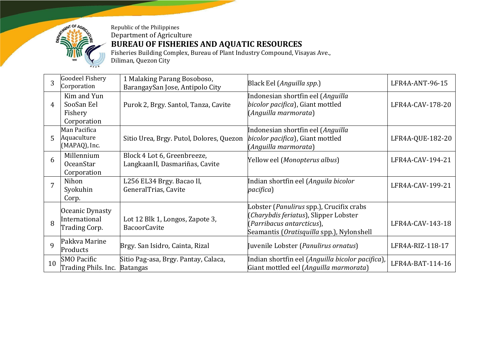

Fisheries Building Complex, Bureau of Plant Industry Compound, Visayas Ave., Diliman, Quezon City

| 3           | <b>Goodeel Fishery</b><br>Corporation               | 1 Malaking Parang Bosoboso,<br>BarangaySan Jose, Antipolo City | Black Eel (Anguilla spp.)                                                                                                                                   | LFR4A-ANT-96-15  |
|-------------|-----------------------------------------------------|----------------------------------------------------------------|-------------------------------------------------------------------------------------------------------------------------------------------------------------|------------------|
| 4           | Kim and Yun<br>SooSan Eel<br>Fishery<br>Corporation | Purok 2, Brgy. Santol, Tanza, Cavite                           | Indonesian shortfin eel (Anguilla<br>bicolor pacifica), Giant mottled<br>(Anguilla marmorata)                                                               | LFR4A-CAV-178-20 |
| 5           | Man Pacifica<br>Aquaculture<br>(MAPAQ), Inc.        | Sitio Urea, Brgy. Putol, Dolores, Quezon                       | Indonesian shortfin eel (Anguilla<br>bicolor pacifica), Giant mottled<br>(Anguilla marmorata)                                                               | LFR4A-QUE-182-20 |
| 6           | Millennium<br><b>OceanStar</b><br>Corporation       | Block 4 Lot 6, Greenbreeze,<br>LangkaanII, Dasmariñas, Cavite  | Yellow eel (Monopterus albus)                                                                                                                               | LFR4A-CAV-194-21 |
| 7           | Nihon<br>Syokuhin<br>Corp.                          | L256 EL34 Brgy. Bacao II,<br>GeneralTrias, Cavite              | Indian shortfin eel (Anguila bicolor<br>pacifica)                                                                                                           | LFR4A-CAV-199-21 |
| 8           | Oceanic Dynasty<br>International<br>Trading Corp.   | Lot 12 Blk 1, Longos, Zapote 3,<br><b>BacoorCavite</b>         | Lobster (Panulirus spp.), Crucifix crabs<br>(Charybdis feriatus), Slipper Lobster<br>(Parribacus antarcticus),<br>Seamantis (Oratisquilla spp.), Nylonshell | LFR4A-CAV-143-18 |
| $\mathbf Q$ | Pakkva Marine<br>Products                           | Brgy. San Isidro, Cainta, Rizal                                | Juvenile Lobster (Panulirus ornatus)                                                                                                                        | LFR4A-RIZ-118-17 |
| 10          | <b>SMO</b> Pacific<br>Trading Phils. Inc.           | Sitio Pag-asa, Brgy. Pantay, Calaca,<br><b>Batangas</b>        | Indian shortfin eel (Anguilla bicolor pacifica)<br>Giant mottled eel (Anguilla marmorata)                                                                   | LFR4A-BAT-114-16 |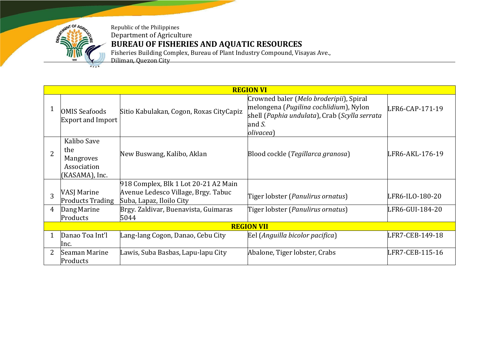

Fisheries Building Complex, Bureau of Plant Industry Compound, Visayas Ave.,

Diliman, Quezon City

|                |                                                                         |                                                                                                         | <b>REGION VI</b>                                                                                                                                                  |                 |
|----------------|-------------------------------------------------------------------------|---------------------------------------------------------------------------------------------------------|-------------------------------------------------------------------------------------------------------------------------------------------------------------------|-----------------|
|                | <b>OMIS Seafoods</b><br>Export and Import                               | Sitio Kabulakan, Cogon, Roxas CityCapiz                                                                 | Crowned baler (Melo broderipii), Spiral<br>melongena (Pugilina cochlidium), Nylon<br>shell (Paphia undulata), Crab (Scylla serrata<br>and S.<br><i>olivacea</i> ) | LFR6-CAP-171-19 |
| $\overline{2}$ | Kalibo Save<br>the<br><b>Mangroves</b><br>Association<br>(KASAMA), Inc. | New Buswang, Kalibo, Aklan                                                                              | Blood cockle (Tegillarca granosa)                                                                                                                                 | LFR6-AKL-176-19 |
| 3              | <b>VASJ Marine</b><br><b>Products Trading</b>                           | 918 Complex, Blk 1 Lot 20-21 A2 Main<br>Avenue Ledesco Village, Brgy. Tabuc<br>Suba, Lapaz, Iloilo City | Tiger lobster (Panulirus ornatus)                                                                                                                                 | LFR6-ILO-180-20 |
| 4              | Dang Marine<br>Products                                                 | Brgy. Zaldivar, Buenavista, Guimaras<br>5044                                                            | Tiger lobster (Panulirus ornatus)                                                                                                                                 | LFR6-GUI-184-20 |
|                |                                                                         |                                                                                                         | <b>REGION VII</b>                                                                                                                                                 |                 |
| 1              | Danao Toa Int'l<br>lnc.                                                 | Lang-lang Cogon, Danao, Cebu City                                                                       | Eel (Anguilla bicolor pacifica)                                                                                                                                   | LFR7-CEB-149-18 |
| 2              | Seaman Marine<br>Products                                               | Lawis, Suba Basbas, Lapu-lapu City                                                                      | Abalone, Tiger lobster, Crabs                                                                                                                                     | LFR7-CEB-115-16 |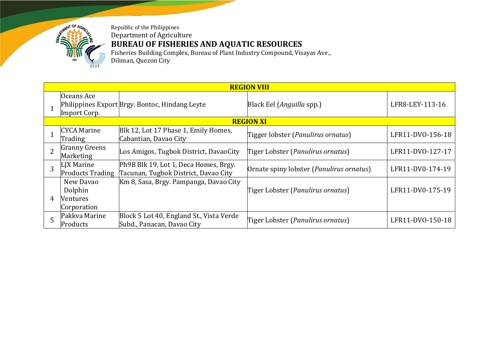

Fisheries Building Complex, Bureau of Plant Industry Compound, Visayas Ave., Diliman, Quezon City

| <b>REGION VIII</b> |                                                        |                                                                               |                                                   |                  |  |  |  |  |
|--------------------|--------------------------------------------------------|-------------------------------------------------------------------------------|---------------------------------------------------|------------------|--|--|--|--|
|                    | Oceans Ace<br>Import Corp.                             | Philippines Export Brgy. Bontoc, Hindang Leyte                                | Black Eel (Anguilla spp.)                         | LFR8-LEY-113-16  |  |  |  |  |
|                    | <b>REGION XI</b>                                       |                                                                               |                                                   |                  |  |  |  |  |
|                    | <b>CYCA Marine</b><br>Trading                          | Blk 12, Lot 17 Phase 1, Emily Homes,<br>Cabantian, Davao City                 | Tigger lobster (Panulirus ornatus)                | LFR11-DV0-156-18 |  |  |  |  |
|                    | <b>Granny Greens</b><br>Marketing                      | Los Amigos, Tugbok District, DavaoCity                                        | Tiger Lobster (Panulirus ornatus)                 | LFR11-DVO-127-17 |  |  |  |  |
| 3                  | LIX Marine<br><b>Products Trading</b>                  | Ph9B Blk 19, Lot 1, Deca Homes, Brgy.<br>Tacunan, Tugbok District, Davao City | Ornate spiny lobster ( <i>Panulirus ornatus</i> ) | LFR11-DV0-174-19 |  |  |  |  |
| 4                  | New Davao<br>Dolphin<br><b>Ventures</b><br>Corporation | Km 8, Sasa, Brgy. Pampanga, Davao City                                        | Tiger Lobster (Panulirus ornatus)                 | LFR11-DV0-175-19 |  |  |  |  |
| 5                  | Pakkva Marine<br>Products                              | Block 5 Lot 40, England St., Vista Verde<br>Subd., Panacan, Davao City        | Tiger Lobster (Panulirus ornatus)                 | LFR11-DVO-150-18 |  |  |  |  |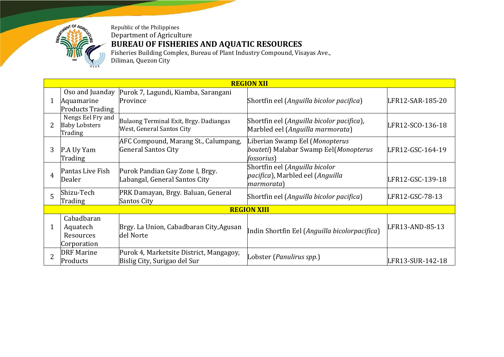

Fisheries Building Complex, Bureau of Plant Industry Compound, Visayas Ave., Diliman, Quezon City

| <b>REGION XII</b>  |                                                          |                                                                         |                                                                                               |                  |  |  |  |
|--------------------|----------------------------------------------------------|-------------------------------------------------------------------------|-----------------------------------------------------------------------------------------------|------------------|--|--|--|
|                    | Oso and Juanday<br>Aquamarine<br><b>Products Trading</b> | Purok 7, Lagundi, Kiamba, Sarangani<br>Province                         | Shortfin eel (Anguilla bicolor pacifica)                                                      | LFR12-SAR-185-20 |  |  |  |
|                    | Nengs Eel Fry and<br><b>Baby Lobsters</b><br>Trading     | Bulaong Terminal Exit, Brgy. Dadiangas<br>West, General Santos City     | Shortfin eel (Anguilla bicolor pacifica),<br>Marbled eel (Anguilla marmorata)                 | LFR12-SCO-136-18 |  |  |  |
| 3                  | P.A Uy Yam<br>Trading                                    | AFC Compound, Marang St., Calumpang,<br><b>General Santos City</b>      | Liberian Swamp Eel (Monopterus<br>bouteti) Malabar Swamp Eel(Monopterus<br><i>fossorius</i> ) | LFR12-GSC-164-19 |  |  |  |
| 4                  | Pantas Live Fish<br>Dealer                               | Purok Pandian Gay Zone I, Brgy.<br>Labangal, General Santos City        | Shortfin eel (Anguilla bicolor<br>pacifica), Marbled eel (Anguilla<br>marmorata)              | LFR12-GSC-139-18 |  |  |  |
| 5                  | Shizu-Tech<br>Trading                                    | PRK Damayan, Brgy. Baluan, General<br><b>Santos City</b>                | Shortfin eel (Anguilla bicolor pacifica)                                                      | LFR12-GSC-78-13  |  |  |  |
| <b>REGION XIII</b> |                                                          |                                                                         |                                                                                               |                  |  |  |  |
| $\mathbf 1$        | Cabadbaran<br>Aquatech<br>Resources<br>Corporation       | Brgy. La Union, Cabadbaran City, Agusan<br>del Norte                    | Indin Shortfin Eel (Anguilla bicolorpacifica)                                                 | LFR13-AND-85-13  |  |  |  |
| $\overline{2}$     | <b>DRF</b> Marine<br>Products                            | Purok 4, Marketsite District, Mangagoy,<br>Bislig City, Surigao del Sur | Lobster (Panulirus spp.)                                                                      | LFR13-SUR-142-18 |  |  |  |